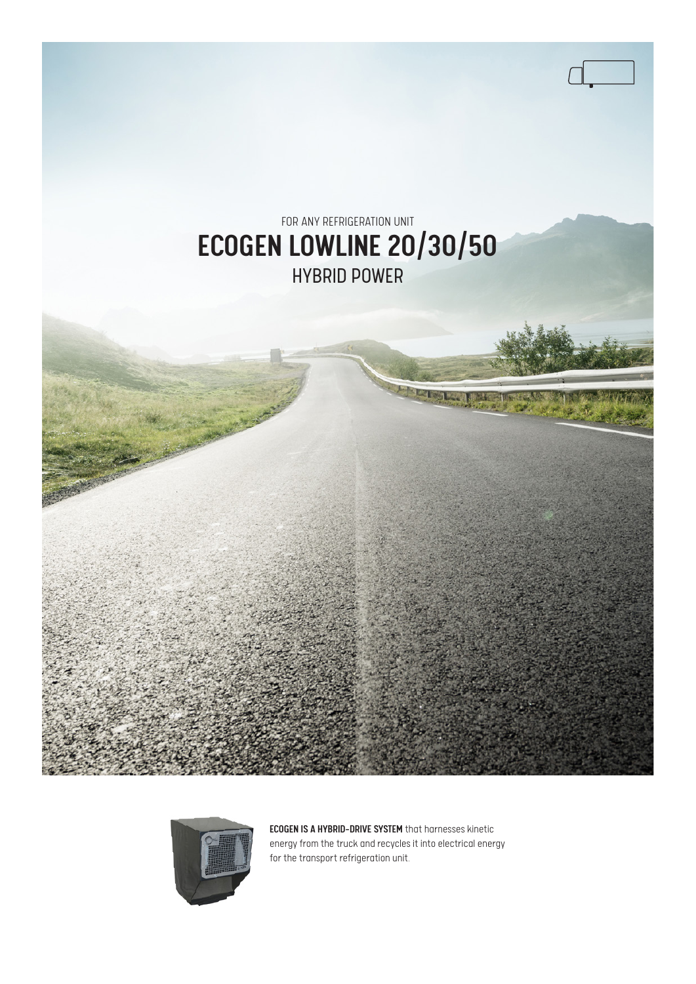



ECOGEN IS A HYBRID-DRIVE SYSTEM that harnesses kinetic energy from the truck and recycles it into electrical energy for the transport refrigeration unit.